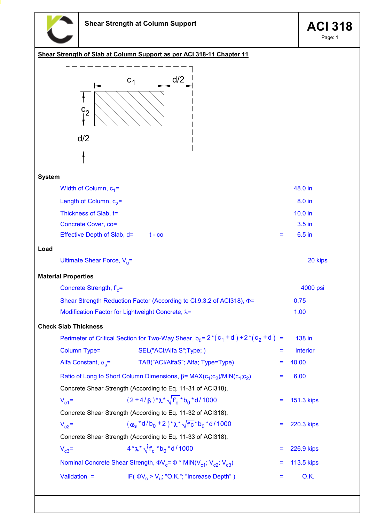

Page: 1

20 kips

# Shear Strength of Slab at Column Support as per ACI 318-11 Chapter 11  $c<sub>1</sub>$ d/2



### System

| Width of Column, $c_1$ =      |          |     | 48.0 in           |
|-------------------------------|----------|-----|-------------------|
| Length of Column, $c_2$ =     |          |     | 8.0 in            |
| Thickness of Slab, t=         |          |     | $10.0$ in         |
| Concrete Cover, co=           |          |     | 3.5 <sub>in</sub> |
| Effective Depth of Slab, $d=$ | $t - co$ | $=$ | $6.5$ in          |

### Load

| Ultimate Shear Force, $V_{\mu}$ = |  |
|-----------------------------------|--|
|-----------------------------------|--|

## Material Properties

| Concrete Strength, $f_{e}$ =                                                | 4000 psi |
|-----------------------------------------------------------------------------|----------|
| Shear Strength Reduction Factor (According to Cl.9.3.2 of ACl318), $\Phi$ = | 0.75     |
| Modification Factor for Lightweight Concrete, $\lambda$ =                   | 1.00     |

### Check Slab Thickness

|                                                             | Perimeter of Critical Section for Two-Way Shear, $b_0 = 2^*(c_1 + d) + 2^*(c_2 + d) =$        |     | 138 in            |  |  |
|-------------------------------------------------------------|-----------------------------------------------------------------------------------------------|-----|-------------------|--|--|
| Column Type=                                                | SEL("ACI/Alfa S";Type;)                                                                       | $=$ | <b>Interior</b>   |  |  |
| Alfa Constant, $\alpha_{\rm s}$ =                           | TAB("ACI/AlfaS"; Alfa; Type=Type)                                                             | $=$ | 40.00             |  |  |
|                                                             | Ratio of Long to Short Column Dimensions, $\beta$ = MAX( $c_1$ ; $c_2$ )/MIN( $c_1$ ; $c_2$ ) | Ξ   | 6.00              |  |  |
| Concrete Shear Strength (According to Eq. 11-31 of ACI318), |                                                                                               |     |                   |  |  |
| $V_{c1}$ =                                                  | $(2+4/\beta)^*\lambda^*\sqrt{f_c}$ * b <sub>0</sub> * d / 1000                                |     | $= 151.3$ kips    |  |  |
| Concrete Shear Strength (According to Eq. 11-32 of ACI318), |                                                                                               |     |                   |  |  |
| $V_{c2}$ =                                                  | $(\alpha_s * d/b_0 + 2) * \lambda^* \sqrt{f c} * b_0 * d/1000$                                |     | $= 220.3$ kips    |  |  |
| Concrete Shear Strength (According to Eq. 11-33 of ACI318), |                                                                                               |     |                   |  |  |
| $V_{c3}$ =                                                  | $4*\lambda*\sqrt{f_{c}}*b_{0}*d/1000$                                                         | Ξ   | 226.9 kips        |  |  |
|                                                             | Nominal Concrete Shear Strength, $\Phi V_c = \Phi^* M IN(V_{c1}; V_{c2}; V_{c3})$             | Ξ   | <b>113.5 kips</b> |  |  |
| Validation $=$                                              | IF( $\Phi V_c > V_{11}$ ; "O.K."; "Increase Depth")                                           |     | O.K.              |  |  |